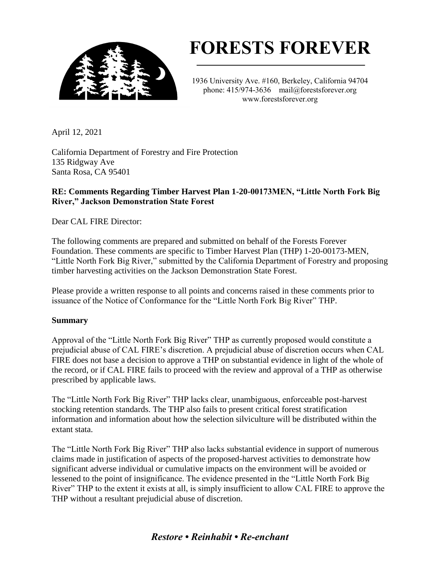

# **FORESTS FOREVER**

1936 University Ave. #160, Berkeley, California 94704 phone: 415/974-3636 mail@forestsforever.org www.forestsforever.org

April 12, 2021

California Department of Forestry and Fire Protection 135 Ridgway Ave Santa Rosa, CA 95401

# **RE: Comments Regarding Timber Harvest Plan 1-20-00173MEN, "Little North Fork Big River," Jackson Demonstration State Forest**

Dear CAL FIRE Director:

The following comments are prepared and submitted on behalf of the Forests Forever Foundation. These comments are specific to Timber Harvest Plan (THP) 1-20-00173-MEN, "Little North Fork Big River," submitted by the California Department of Forestry and proposing timber harvesting activities on the Jackson Demonstration State Forest.

Please provide a written response to all points and concerns raised in these comments prior to issuance of the Notice of Conformance for the "Little North Fork Big River" THP.

## **Summary**

Approval of the "Little North Fork Big River" THP as currently proposed would constitute a prejudicial abuse of CAL FIRE's discretion. A prejudicial abuse of discretion occurs when CAL FIRE does not base a decision to approve a THP on substantial evidence in light of the whole of the record, or if CAL FIRE fails to proceed with the review and approval of a THP as otherwise prescribed by applicable laws.

The "Little North Fork Big River" THP lacks clear, unambiguous, enforceable post-harvest stocking retention standards. The THP also fails to present critical forest stratification information and information about how the selection silviculture will be distributed within the extant stata.

The "Little North Fork Big River" THP also lacks substantial evidence in support of numerous claims made in justification of aspects of the proposed-harvest activities to demonstrate how significant adverse individual or cumulative impacts on the environment will be avoided or lessened to the point of insignificance. The evidence presented in the "Little North Fork Big River" THP to the extent it exists at all, is simply insufficient to allow CAL FIRE to approve the THP without a resultant prejudicial abuse of discretion.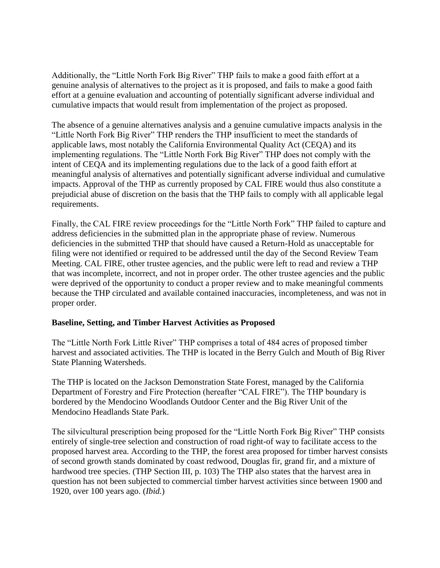Additionally, the "Little North Fork Big River" THP fails to make a good faith effort at a genuine analysis of alternatives to the project as it is proposed, and fails to make a good faith effort at a genuine evaluation and accounting of potentially significant adverse individual and cumulative impacts that would result from implementation of the project as proposed.

The absence of a genuine alternatives analysis and a genuine cumulative impacts analysis in the "Little North Fork Big River" THP renders the THP insufficient to meet the standards of applicable laws, most notably the California Environmental Quality Act (CEQA) and its implementing regulations. The "Little North Fork Big River" THP does not comply with the intent of CEQA and its implementing regulations due to the lack of a good faith effort at meaningful analysis of alternatives and potentially significant adverse individual and cumulative impacts. Approval of the THP as currently proposed by CAL FIRE would thus also constitute a prejudicial abuse of discretion on the basis that the THP fails to comply with all applicable legal requirements.

Finally, the CAL FIRE review proceedings for the "Little North Fork" THP failed to capture and address deficiencies in the submitted plan in the appropriate phase of review. Numerous deficiencies in the submitted THP that should have caused a Return-Hold as unacceptable for filing were not identified or required to be addressed until the day of the Second Review Team Meeting. CAL FIRE, other trustee agencies, and the public were left to read and review a THP that was incomplete, incorrect, and not in proper order. The other trustee agencies and the public were deprived of the opportunity to conduct a proper review and to make meaningful comments because the THP circulated and available contained inaccuracies, incompleteness, and was not in proper order.

#### **Baseline, Setting, and Timber Harvest Activities as Proposed**

The "Little North Fork Little River" THP comprises a total of 484 acres of proposed timber harvest and associated activities. The THP is located in the Berry Gulch and Mouth of Big River State Planning Watersheds.

The THP is located on the Jackson Demonstration State Forest, managed by the California Department of Forestry and Fire Protection (hereafter "CAL FIRE"). The THP boundary is bordered by the Mendocino Woodlands Outdoor Center and the Big River Unit of the Mendocino Headlands State Park.

The silvicultural prescription being proposed for the "Little North Fork Big River" THP consists entirely of single-tree selection and construction of road right-of way to facilitate access to the proposed harvest area. According to the THP, the forest area proposed for timber harvest consists of second growth stands dominated by coast redwood, Douglas fir, grand fir, and a mixture of hardwood tree species. (THP Section III, p. 103) The THP also states that the harvest area in question has not been subjected to commercial timber harvest activities since between 1900 and 1920, over 100 years ago. (*Ibid.*)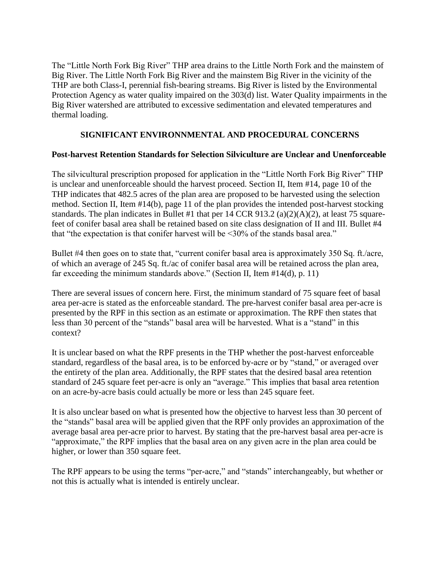The "Little North Fork Big River" THP area drains to the Little North Fork and the mainstem of Big River. The Little North Fork Big River and the mainstem Big River in the vicinity of the THP are both Class-I, perennial fish-bearing streams. Big River is listed by the Environmental Protection Agency as water quality impaired on the 303(d) list. Water Quality impairments in the Big River watershed are attributed to excessive sedimentation and elevated temperatures and thermal loading.

#### **SIGNIFICANT ENVIRONNMENTAL AND PROCEDURAL CONCERNS**

#### **Post-harvest Retention Standards for Selection Silviculture are Unclear and Unenforceable**

The silvicultural prescription proposed for application in the "Little North Fork Big River" THP is unclear and unenforceable should the harvest proceed. Section II, Item #14, page 10 of the THP indicates that 482.5 acres of the plan area are proposed to be harvested using the selection method. Section II, Item #14(b), page 11 of the plan provides the intended post-harvest stocking standards. The plan indicates in Bullet #1 that per 14 CCR 913.2 (a)(2)(A)(2), at least 75 squarefeet of conifer basal area shall be retained based on site class designation of II and III. Bullet #4 that "the expectation is that conifer harvest will be <30% of the stands basal area."

Bullet #4 then goes on to state that, "current conifer basal area is approximately 350 Sq. ft./acre, of which an average of 245 Sq. ft./ac of conifer basal area will be retained across the plan area, far exceeding the minimum standards above." (Section II, Item #14(d), p. 11)

There are several issues of concern here. First, the minimum standard of 75 square feet of basal area per-acre is stated as the enforceable standard. The pre-harvest conifer basal area per-acre is presented by the RPF in this section as an estimate or approximation. The RPF then states that less than 30 percent of the "stands" basal area will be harvested. What is a "stand" in this context?

It is unclear based on what the RPF presents in the THP whether the post-harvest enforceable standard, regardless of the basal area, is to be enforced by-acre or by "stand," or averaged over the entirety of the plan area. Additionally, the RPF states that the desired basal area retention standard of 245 square feet per-acre is only an "average." This implies that basal area retention on an acre-by-acre basis could actually be more or less than 245 square feet.

It is also unclear based on what is presented how the objective to harvest less than 30 percent of the "stands" basal area will be applied given that the RPF only provides an approximation of the average basal area per-acre prior to harvest. By stating that the pre-harvest basal area per-acre is "approximate," the RPF implies that the basal area on any given acre in the plan area could be higher, or lower than 350 square feet.

The RPF appears to be using the terms "per-acre," and "stands" interchangeably, but whether or not this is actually what is intended is entirely unclear.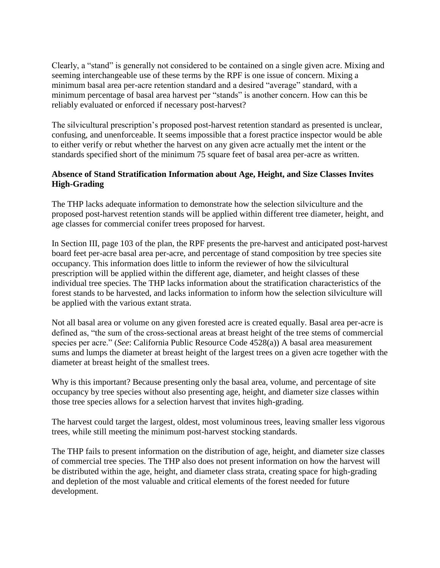Clearly, a "stand" is generally not considered to be contained on a single given acre. Mixing and seeming interchangeable use of these terms by the RPF is one issue of concern. Mixing a minimum basal area per-acre retention standard and a desired "average" standard, with a minimum percentage of basal area harvest per "stands" is another concern. How can this be reliably evaluated or enforced if necessary post-harvest?

The silvicultural prescription's proposed post-harvest retention standard as presented is unclear, confusing, and unenforceable. It seems impossible that a forest practice inspector would be able to either verify or rebut whether the harvest on any given acre actually met the intent or the standards specified short of the minimum 75 square feet of basal area per-acre as written.

# **Absence of Stand Stratification Information about Age, Height, and Size Classes Invites High-Grading**

The THP lacks adequate information to demonstrate how the selection silviculture and the proposed post-harvest retention stands will be applied within different tree diameter, height, and age classes for commercial conifer trees proposed for harvest.

In Section III, page 103 of the plan, the RPF presents the pre-harvest and anticipated post-harvest board feet per-acre basal area per-acre, and percentage of stand composition by tree species site occupancy. This information does little to inform the reviewer of how the silvicultural prescription will be applied within the different age, diameter, and height classes of these individual tree species. The THP lacks information about the stratification characteristics of the forest stands to be harvested, and lacks information to inform how the selection silviculture will be applied with the various extant strata.

Not all basal area or volume on any given forested acre is created equally. Basal area per-acre is defined as, "the sum of the cross-sectional areas at breast height of the tree stems of commercial species per acre." (*See*: California Public Resource Code 4528(a)) A basal area measurement sums and lumps the diameter at breast height of the largest trees on a given acre together with the diameter at breast height of the smallest trees.

Why is this important? Because presenting only the basal area, volume, and percentage of site occupancy by tree species without also presenting age, height, and diameter size classes within those tree species allows for a selection harvest that invites high-grading.

The harvest could target the largest, oldest, most voluminous trees, leaving smaller less vigorous trees, while still meeting the minimum post-harvest stocking standards.

The THP fails to present information on the distribution of age, height, and diameter size classes of commercial tree species. The THP also does not present information on how the harvest will be distributed within the age, height, and diameter class strata, creating space for high-grading and depletion of the most valuable and critical elements of the forest needed for future development.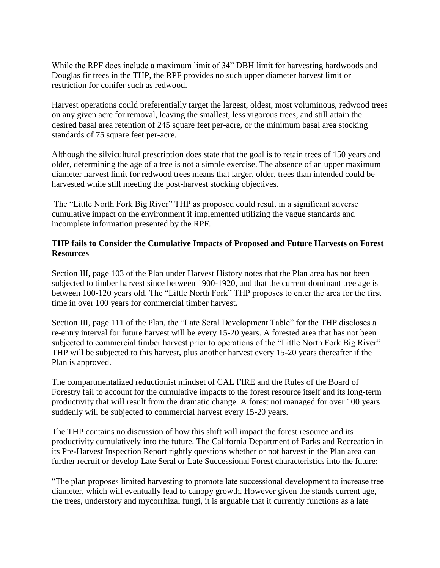While the RPF does include a maximum limit of 34" DBH limit for harvesting hardwoods and Douglas fir trees in the THP, the RPF provides no such upper diameter harvest limit or restriction for conifer such as redwood.

Harvest operations could preferentially target the largest, oldest, most voluminous, redwood trees on any given acre for removal, leaving the smallest, less vigorous trees, and still attain the desired basal area retention of 245 square feet per-acre, or the minimum basal area stocking standards of 75 square feet per-acre.

Although the silvicultural prescription does state that the goal is to retain trees of 150 years and older, determining the age of a tree is not a simple exercise. The absence of an upper maximum diameter harvest limit for redwood trees means that larger, older, trees than intended could be harvested while still meeting the post-harvest stocking objectives.

The "Little North Fork Big River" THP as proposed could result in a significant adverse cumulative impact on the environment if implemented utilizing the vague standards and incomplete information presented by the RPF.

## **THP fails to Consider the Cumulative Impacts of Proposed and Future Harvests on Forest Resources**

Section III, page 103 of the Plan under Harvest History notes that the Plan area has not been subjected to timber harvest since between 1900-1920, and that the current dominant tree age is between 100-120 years old. The "Little North Fork" THP proposes to enter the area for the first time in over 100 years for commercial timber harvest.

Section III, page 111 of the Plan, the "Late Seral Development Table" for the THP discloses a re-entry interval for future harvest will be every 15-20 years. A forested area that has not been subjected to commercial timber harvest prior to operations of the "Little North Fork Big River" THP will be subjected to this harvest, plus another harvest every 15-20 years thereafter if the Plan is approved.

The compartmentalized reductionist mindset of CAL FIRE and the Rules of the Board of Forestry fail to account for the cumulative impacts to the forest resource itself and its long-term productivity that will result from the dramatic change. A forest not managed for over 100 years suddenly will be subjected to commercial harvest every 15-20 years.

The THP contains no discussion of how this shift will impact the forest resource and its productivity cumulatively into the future. The California Department of Parks and Recreation in its Pre-Harvest Inspection Report rightly questions whether or not harvest in the Plan area can further recruit or develop Late Seral or Late Successional Forest characteristics into the future:

"The plan proposes limited harvesting to promote late successional development to increase tree diameter, which will eventually lead to canopy growth. However given the stands current age, the trees, understory and mycorrhizal fungi, it is arguable that it currently functions as a late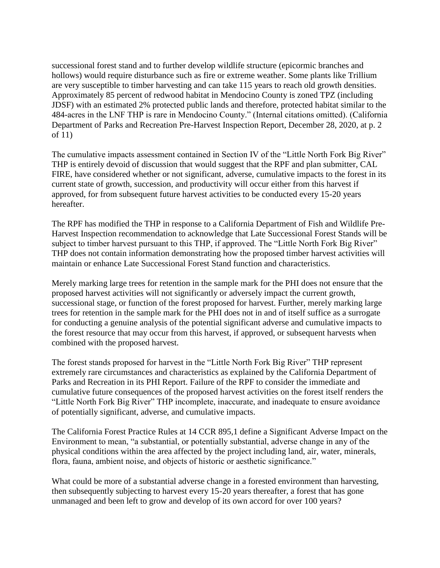successional forest stand and to further develop wildlife structure (epicormic branches and hollows) would require disturbance such as fire or extreme weather. Some plants like Trillium are very susceptible to timber harvesting and can take 115 years to reach old growth densities. Approximately 85 percent of redwood habitat in Mendocino County is zoned TPZ (including JDSF) with an estimated 2% protected public lands and therefore, protected habitat similar to the 484-acres in the LNF THP is rare in Mendocino County." (Internal citations omitted). (California Department of Parks and Recreation Pre-Harvest Inspection Report, December 28, 2020, at p. 2 of 11)

The cumulative impacts assessment contained in Section IV of the "Little North Fork Big River" THP is entirely devoid of discussion that would suggest that the RPF and plan submitter, CAL FIRE, have considered whether or not significant, adverse, cumulative impacts to the forest in its current state of growth, succession, and productivity will occur either from this harvest if approved, for from subsequent future harvest activities to be conducted every 15-20 years hereafter.

The RPF has modified the THP in response to a California Department of Fish and Wildlife Pre-Harvest Inspection recommendation to acknowledge that Late Successional Forest Stands will be subject to timber harvest pursuant to this THP, if approved. The "Little North Fork Big River" THP does not contain information demonstrating how the proposed timber harvest activities will maintain or enhance Late Successional Forest Stand function and characteristics.

Merely marking large trees for retention in the sample mark for the PHI does not ensure that the proposed harvest activities will not significantly or adversely impact the current growth, successional stage, or function of the forest proposed for harvest. Further, merely marking large trees for retention in the sample mark for the PHI does not in and of itself suffice as a surrogate for conducting a genuine analysis of the potential significant adverse and cumulative impacts to the forest resource that may occur from this harvest, if approved, or subsequent harvests when combined with the proposed harvest.

The forest stands proposed for harvest in the "Little North Fork Big River" THP represent extremely rare circumstances and characteristics as explained by the California Department of Parks and Recreation in its PHI Report. Failure of the RPF to consider the immediate and cumulative future consequences of the proposed harvest activities on the forest itself renders the "Little North Fork Big River" THP incomplete, inaccurate, and inadequate to ensure avoidance of potentially significant, adverse, and cumulative impacts.

The California Forest Practice Rules at 14 CCR 895,1 define a Significant Adverse Impact on the Environment to mean, "a substantial, or potentially substantial, adverse change in any of the physical conditions within the area affected by the project including land, air, water, minerals, flora, fauna, ambient noise, and objects of historic or aesthetic significance."

What could be more of a substantial adverse change in a forested environment than harvesting, then subsequently subjecting to harvest every 15-20 years thereafter, a forest that has gone unmanaged and been left to grow and develop of its own accord for over 100 years?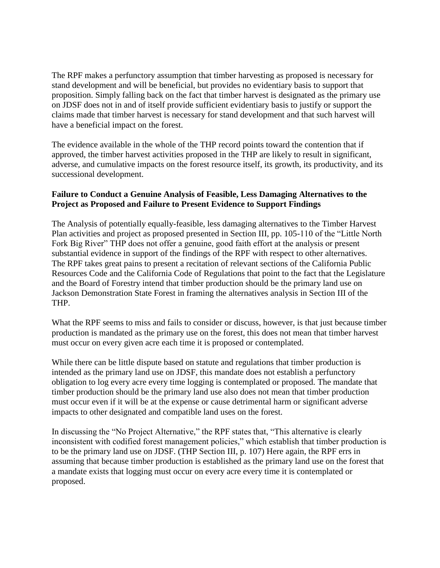The RPF makes a perfunctory assumption that timber harvesting as proposed is necessary for stand development and will be beneficial, but provides no evidentiary basis to support that proposition. Simply falling back on the fact that timber harvest is designated as the primary use on JDSF does not in and of itself provide sufficient evidentiary basis to justify or support the claims made that timber harvest is necessary for stand development and that such harvest will have a beneficial impact on the forest.

The evidence available in the whole of the THP record points toward the contention that if approved, the timber harvest activities proposed in the THP are likely to result in significant, adverse, and cumulative impacts on the forest resource itself, its growth, its productivity, and its successional development.

## **Failure to Conduct a Genuine Analysis of Feasible, Less Damaging Alternatives to the Project as Proposed and Failure to Present Evidence to Support Findings**

The Analysis of potentially equally-feasible, less damaging alternatives to the Timber Harvest Plan activities and project as proposed presented in Section III, pp. 105-110 of the "Little North Fork Big River" THP does not offer a genuine, good faith effort at the analysis or present substantial evidence in support of the findings of the RPF with respect to other alternatives. The RPF takes great pains to present a recitation of relevant sections of the California Public Resources Code and the California Code of Regulations that point to the fact that the Legislature and the Board of Forestry intend that timber production should be the primary land use on Jackson Demonstration State Forest in framing the alternatives analysis in Section III of the THP.

What the RPF seems to miss and fails to consider or discuss, however, is that just because timber production is mandated as the primary use on the forest, this does not mean that timber harvest must occur on every given acre each time it is proposed or contemplated.

While there can be little dispute based on statute and regulations that timber production is intended as the primary land use on JDSF, this mandate does not establish a perfunctory obligation to log every acre every time logging is contemplated or proposed. The mandate that timber production should be the primary land use also does not mean that timber production must occur even if it will be at the expense or cause detrimental harm or significant adverse impacts to other designated and compatible land uses on the forest.

In discussing the "No Project Alternative," the RPF states that, "This alternative is clearly inconsistent with codified forest management policies," which establish that timber production is to be the primary land use on JDSF. (THP Section III, p. 107) Here again, the RPF errs in assuming that because timber production is established as the primary land use on the forest that a mandate exists that logging must occur on every acre every time it is contemplated or proposed.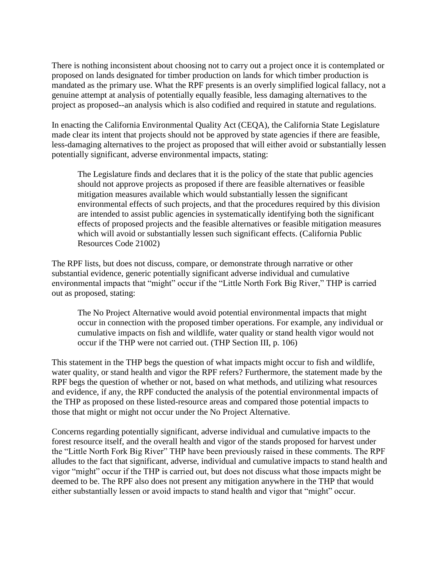There is nothing inconsistent about choosing not to carry out a project once it is contemplated or proposed on lands designated for timber production on lands for which timber production is mandated as the primary use. What the RPF presents is an overly simplified logical fallacy, not a genuine attempt at analysis of potentially equally feasible, less damaging alternatives to the project as proposed--an analysis which is also codified and required in statute and regulations.

In enacting the California Environmental Quality Act (CEQA), the California State Legislature made clear its intent that projects should not be approved by state agencies if there are feasible, less-damaging alternatives to the project as proposed that will either avoid or substantially lessen potentially significant, adverse environmental impacts, stating:

The Legislature finds and declares that it is the policy of the state that public agencies should not approve projects as proposed if there are feasible alternatives or feasible mitigation measures available which would substantially lessen the significant environmental effects of such projects, and that the procedures required by this division are intended to assist public agencies in systematically identifying both the significant effects of proposed projects and the feasible alternatives or feasible mitigation measures which will avoid or substantially lessen such significant effects. (California Public Resources Code 21002)

The RPF lists, but does not discuss, compare, or demonstrate through narrative or other substantial evidence, generic potentially significant adverse individual and cumulative environmental impacts that "might" occur if the "Little North Fork Big River," THP is carried out as proposed, stating:

The No Project Alternative would avoid potential environmental impacts that might occur in connection with the proposed timber operations. For example, any individual or cumulative impacts on fish and wildlife, water quality or stand health vigor would not occur if the THP were not carried out. (THP Section III, p. 106)

This statement in the THP begs the question of what impacts might occur to fish and wildlife, water quality, or stand health and vigor the RPF refers? Furthermore, the statement made by the RPF begs the question of whether or not, based on what methods, and utilizing what resources and evidence, if any, the RPF conducted the analysis of the potential environmental impacts of the THP as proposed on these listed-resource areas and compared those potential impacts to those that might or might not occur under the No Project Alternative.

Concerns regarding potentially significant, adverse individual and cumulative impacts to the forest resource itself, and the overall health and vigor of the stands proposed for harvest under the "Little North Fork Big River" THP have been previously raised in these comments. The RPF alludes to the fact that significant, adverse, individual and cumulative impacts to stand health and vigor "might" occur if the THP is carried out, but does not discuss what those impacts might be deemed to be. The RPF also does not present any mitigation anywhere in the THP that would either substantially lessen or avoid impacts to stand health and vigor that "might" occur.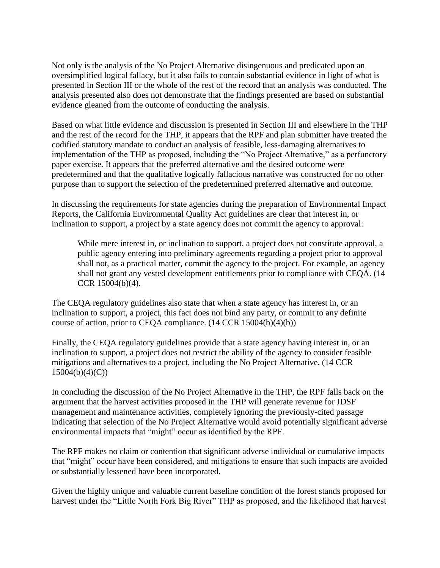Not only is the analysis of the No Project Alternative disingenuous and predicated upon an oversimplified logical fallacy, but it also fails to contain substantial evidence in light of what is presented in Section III or the whole of the rest of the record that an analysis was conducted. The analysis presented also does not demonstrate that the findings presented are based on substantial evidence gleaned from the outcome of conducting the analysis.

Based on what little evidence and discussion is presented in Section III and elsewhere in the THP and the rest of the record for the THP, it appears that the RPF and plan submitter have treated the codified statutory mandate to conduct an analysis of feasible, less-damaging alternatives to implementation of the THP as proposed, including the "No Project Alternative," as a perfunctory paper exercise. It appears that the preferred alternative and the desired outcome were predetermined and that the qualitative logically fallacious narrative was constructed for no other purpose than to support the selection of the predetermined preferred alternative and outcome.

In discussing the requirements for state agencies during the preparation of Environmental Impact Reports, the California Environmental Quality Act guidelines are clear that interest in, or inclination to support, a project by a state agency does not commit the agency to approval:

While mere interest in, or inclination to support, a project does not constitute approval, a public agency entering into preliminary agreements regarding a project prior to approval shall not, as a practical matter, commit the agency to the project. For example, an agency shall not grant any vested development entitlements prior to compliance with CEQA. (14 CCR 15004(b)(4).

The CEQA regulatory guidelines also state that when a state agency has interest in, or an inclination to support, a project, this fact does not bind any party, or commit to any definite course of action, prior to CEQA compliance. (14 CCR 15004(b)(4)(b))

Finally, the CEQA regulatory guidelines provide that a state agency having interest in, or an inclination to support, a project does not restrict the ability of the agency to consider feasible mitigations and alternatives to a project, including the No Project Alternative. (14 CCR  $15004(b)(4)(C)$ 

In concluding the discussion of the No Project Alternative in the THP, the RPF falls back on the argument that the harvest activities proposed in the THP will generate revenue for JDSF management and maintenance activities, completely ignoring the previously-cited passage indicating that selection of the No Project Alternative would avoid potentially significant adverse environmental impacts that "might" occur as identified by the RPF.

The RPF makes no claim or contention that significant adverse individual or cumulative impacts that "might" occur have been considered, and mitigations to ensure that such impacts are avoided or substantially lessened have been incorporated.

Given the highly unique and valuable current baseline condition of the forest stands proposed for harvest under the "Little North Fork Big River" THP as proposed, and the likelihood that harvest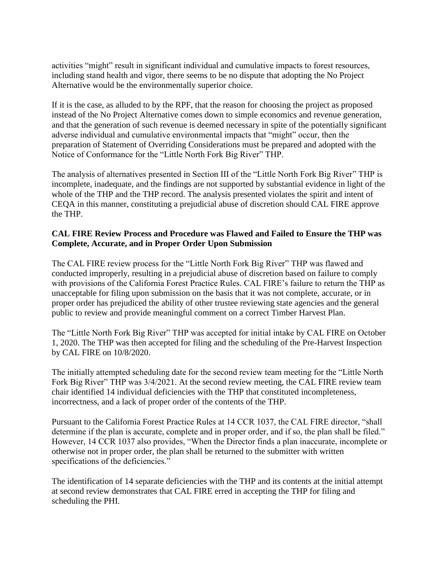activities "might" result in significant individual and cumulative impacts to forest resources, including stand health and vigor, there seems to be no dispute that adopting the No Project Alternative would be the environmentally superior choice.

If it is the case, as alluded to by the RPF, that the reason for choosing the project as proposed instead of the No Project Alternative comes down to simple economics and revenue generation, and that the generation of such revenue is deemed necessary in spite of the potentially significant adverse individual and cumulative environmental impacts that "might" occur, then the preparation of Statement of Overriding Considerations must be prepared and adopted with the Notice of Conformance for the "Little North Fork Big River" THP.

The analysis of alternatives presented in Section III of the "Little North Fork Big River" THP is incomplete, inadequate, and the findings are not supported by substantial evidence in light of the whole of the THP and the THP record. The analysis presented violates the spirit and intent of CEQA in this manner, constituting a prejudicial abuse of discretion should CAL FIRE approve the THP.

#### **CAL FIRE Review Process and Procedure was Flawed and Failed to Ensure the THP was Complete, Accurate, and in Proper Order Upon Submission**

The CAL FIRE review process for the "Little North Fork Big River" THP was flawed and conducted improperly, resulting in a prejudicial abuse of discretion based on failure to comply with provisions of the California Forest Practice Rules. CAL FIRE's failure to return the THP as unacceptable for filing upon submission on the basis that it was not complete, accurate, or in proper order has prejudiced the ability of other trustee reviewing state agencies and the general public to review and provide meaningful comment on a correct Timber Harvest Plan.

The "Little North Fork Big River" THP was accepted for initial intake by CAL FIRE on October 1, 2020. The THP was then accepted for filing and the scheduling of the Pre-Harvest Inspection by CAL FIRE on 10/8/2020.

The initially attempted scheduling date for the second review team meeting for the "Little North Fork Big River" THP was 3/4/2021. At the second review meeting, the CAL FIRE review team chair identified 14 individual deficiencies with the THP that constituted incompleteness, incorrectness, and a lack of proper order of the contents of the THP.

Pursuant to the California Forest Practice Rules at 14 CCR 1037, the CAL FIRE director, "shall determine if the plan is accurate, complete and in proper order, and if so, the plan shall be filed." However, 14 CCR 1037 also provides, "When the Director finds a plan inaccurate, incomplete or otherwise not in proper order, the plan shall be returned to the submitter with written specifications of the deficiencies."

The identification of 14 separate deficiencies with the THP and its contents at the initial attempt at second review demonstrates that CAL FIRE erred in accepting the THP for filing and scheduling the PHI.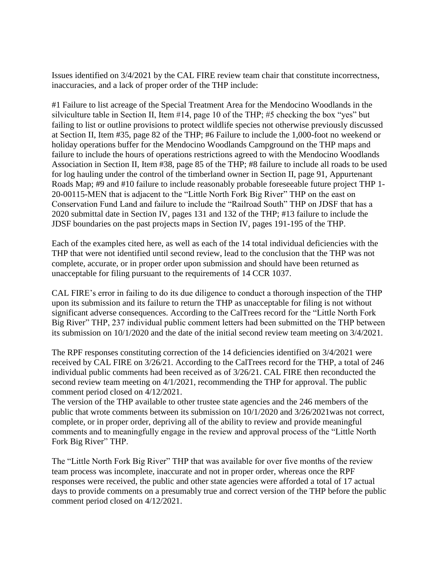Issues identified on 3/4/2021 by the CAL FIRE review team chair that constitute incorrectness, inaccuracies, and a lack of proper order of the THP include:

#1 Failure to list acreage of the Special Treatment Area for the Mendocino Woodlands in the silviculture table in Section II, Item #14, page 10 of the THP; #5 checking the box "yes" but failing to list or outline provisions to protect wildlife species not otherwise previously discussed at Section II, Item #35, page 82 of the THP; #6 Failure to include the 1,000-foot no weekend or holiday operations buffer for the Mendocino Woodlands Campground on the THP maps and failure to include the hours of operations restrictions agreed to with the Mendocino Woodlands Association in Section II, Item #38, page 85 of the THP; #8 failure to include all roads to be used for log hauling under the control of the timberland owner in Section II, page 91, Appurtenant Roads Map; #9 and #10 failure to include reasonably probable foreseeable future project THP 1- 20-00115-MEN that is adjacent to the "Little North Fork Big River" THP on the east on Conservation Fund Land and failure to include the "Railroad South" THP on JDSF that has a 2020 submittal date in Section IV, pages 131 and 132 of the THP; #13 failure to include the JDSF boundaries on the past projects maps in Section IV, pages 191-195 of the THP.

Each of the examples cited here, as well as each of the 14 total individual deficiencies with the THP that were not identified until second review, lead to the conclusion that the THP was not complete, accurate, or in proper order upon submission and should have been returned as unacceptable for filing pursuant to the requirements of 14 CCR 1037.

CAL FIRE's error in failing to do its due diligence to conduct a thorough inspection of the THP upon its submission and its failure to return the THP as unacceptable for filing is not without significant adverse consequences. According to the CalTrees record for the "Little North Fork Big River" THP, 237 individual public comment letters had been submitted on the THP between its submission on 10/1/2020 and the date of the initial second review team meeting on 3/4/2021.

The RPF responses constituting correction of the 14 deficiencies identified on 3/4/2021 were received by CAL FIRE on 3/26/21. According to the CalTrees record for the THP, a total of 246 individual public comments had been received as of 3/26/21. CAL FIRE then reconducted the second review team meeting on 4/1/2021, recommending the THP for approval. The public comment period closed on 4/12/2021.

The version of the THP available to other trustee state agencies and the 246 members of the public that wrote comments between its submission on 10/1/2020 and 3/26/2021was not correct, complete, or in proper order, depriving all of the ability to review and provide meaningful comments and to meaningfully engage in the review and approval process of the "Little North Fork Big River" THP.

The "Little North Fork Big River" THP that was available for over five months of the review team process was incomplete, inaccurate and not in proper order, whereas once the RPF responses were received, the public and other state agencies were afforded a total of 17 actual days to provide comments on a presumably true and correct version of the THP before the public comment period closed on 4/12/2021.